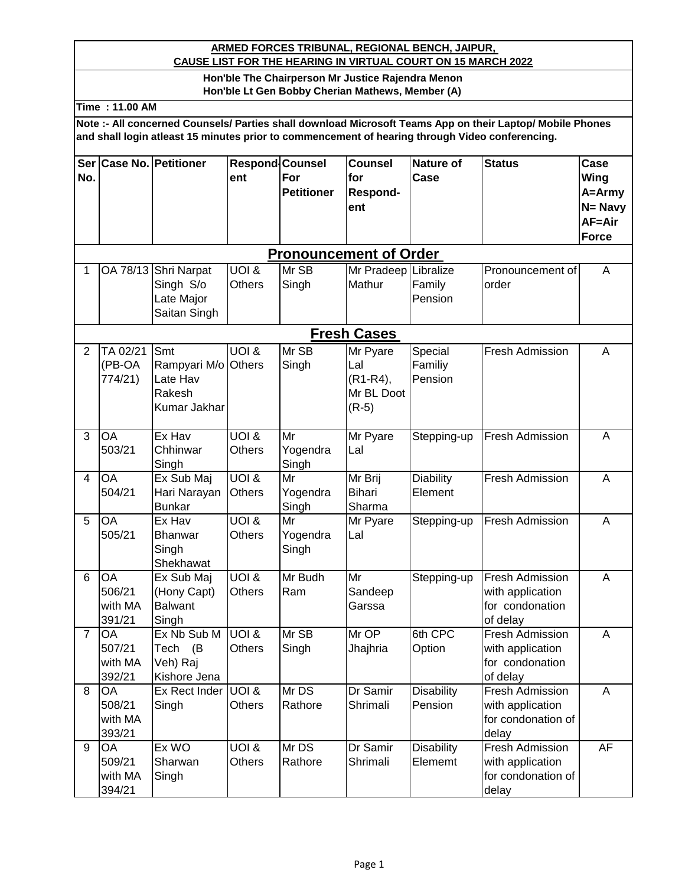## **ARMED FORCES TRIBUNAL, REGIONAL BENCH, JAIPUR, CAUSE LIST FOR THE HEARING IN VIRTUAL COURT ON 15 MARCH 2022**

## **Hon'ble The Chairperson Mr Justice Rajendra Menon Hon'ble Lt Gen Bobby Cherian Mathews, Member (A)**

**Time : 11.00 AM**

**Note :- All concerned Counsels/ Parties shall download Microsoft Teams App on their Laptop/ Mobile Phones and shall login atleast 15 minutes prior to commencement of hearing through Video conferencing.**

| Ser                     |                 | <b>Case No. Petitioner</b> | <b>Respond</b> Counsel |                               | <b>Counsel</b>           | <b>Nature of</b>  | <b>Status</b>            | Case           |
|-------------------------|-----------------|----------------------------|------------------------|-------------------------------|--------------------------|-------------------|--------------------------|----------------|
| No.                     |                 |                            | ent                    | For                           | for                      | Case              |                          | Wing           |
|                         |                 |                            |                        | <b>Petitioner</b>             | Respond-                 |                   |                          | A=Army         |
|                         |                 |                            |                        |                               | ent                      |                   |                          | N= Navy        |
|                         |                 |                            |                        |                               |                          |                   |                          | AF=Air         |
|                         |                 |                            |                        |                               |                          |                   |                          | <b>Force</b>   |
|                         |                 |                            |                        | <b>Pronouncement of Order</b> |                          |                   |                          |                |
| 1                       | OA 78/13        | Shri Narpat                | <b>UOI &amp;</b>       | Mr SB                         | Mr Pradeep Libralize     |                   | Pronouncement of         | A              |
|                         |                 | Singh S/o                  | Others                 | Singh                         | Mathur                   | Family            | order                    |                |
|                         |                 | Late Major                 |                        |                               |                          | Pension           |                          |                |
|                         |                 | Saitan Singh               |                        |                               |                          |                   |                          |                |
|                         |                 |                            |                        |                               | <b>Fresh Cases</b>       |                   |                          |                |
| $\overline{2}$          | TA 02/21        | Smt                        | $U$ OI $\overline{\&}$ | Mr SB                         | Mr Pyare                 | Special           | <b>Fresh Admission</b>   | Α              |
|                         | (PB-OA          | Rampyari M/o               | <b>Others</b>          | Singh                         | Lal                      | Familiy           |                          |                |
|                         | 774/21)         | Late Hav                   |                        |                               | $(R1-R4),$               | Pension           |                          |                |
|                         |                 | Rakesh                     |                        |                               | Mr BL Doot               |                   |                          |                |
|                         |                 | Kumar Jakhar               |                        |                               | $(R-5)$                  |                   |                          |                |
| 3                       | OA              | Ex Hav                     | <b>UOI &amp;</b>       | Mr                            | Mr Pyare                 | Stepping-up       | Fresh Admission          | A              |
|                         | 503/21          | Chhinwar                   | Others                 | Yogendra                      | Lal                      |                   |                          |                |
|                         |                 | Singh                      |                        | Singh                         |                          |                   |                          |                |
| $\overline{\mathbf{4}}$ | OA              | Ex Sub Maj                 | <b>UOI &amp;</b>       | Mr                            | Mr Brij                  | <b>Diability</b>  | Fresh Admission          | $\overline{A}$ |
|                         | 504/21          | Hari Narayan               | <b>Others</b>          | Yogendra                      | Bihari                   | Element           |                          |                |
|                         |                 | <b>Bunkar</b>              |                        | Singh                         | Sharma                   |                   |                          |                |
| 5                       | OA<br>505/21    | Ex Hav                     | <b>UOI &amp;</b>       | Mr                            | Mr Pyare                 | Stepping-up       | Fresh Admission          | $\overline{A}$ |
|                         |                 | Bhanwar                    | <b>Others</b>          | Yogendra                      | Lal                      |                   |                          |                |
|                         |                 | Singh<br>Shekhawat         |                        | Singh                         |                          |                   |                          |                |
| 6                       | $\overline{OA}$ | Ex Sub Maj                 | <b>UOI &amp;</b>       | Mr Budh                       | $\overline{\mathsf{Mr}}$ | Stepping-up       | Fresh Admission          | $\overline{A}$ |
|                         | 506/21          | (Hony Capt)                | <b>Others</b>          | Ram                           | Sandeep                  |                   | with application         |                |
|                         | with MA         | <b>Balwant</b>             |                        |                               | Garssa                   |                   | for condonation          |                |
|                         | 391/21          | Singh                      |                        |                               |                          |                   | of delay                 |                |
| $\overline{7}$          | OA              | Ex Nb Sub M                | <b>UOI &amp;</b>       | Mr SB                         | Mr OP                    | 6th CPC           | <b>Fresh Admission</b>   | A              |
|                         | 507/21          | (B)<br>Tech                | Others                 | Singh                         | Jhajhria                 | Option            | with application         |                |
|                         | with MA         | Veh) Raj                   |                        |                               |                          |                   | for condonation          |                |
|                         | 392/21          | Kishore Jena               |                        |                               |                          |                   | of delay                 |                |
| 8                       | <b>OA</b>       | Ex Rect Inder              | UOI &                  | Mr DS                         | Dr Samir                 | <b>Disability</b> | Fresh Admission          | A              |
|                         | 508/21          | Singh                      | Others                 | Rathore                       | Shrimali                 | Pension           | with application         |                |
|                         | with MA         |                            |                        |                               |                          |                   | for condonation of       |                |
| 9                       | 393/21<br>OA    | Ex WO                      | <b>UOI &amp;</b>       | Mr DS                         | Dr Samir                 | <b>Disability</b> | delay<br>Fresh Admission | <b>AF</b>      |
|                         | 509/21          | Sharwan                    | Others                 | Rathore                       | Shrimali                 | Elememt           | with application         |                |
|                         | with MA         | Singh                      |                        |                               |                          |                   | for condonation of       |                |
|                         | 394/21          |                            |                        |                               |                          |                   | delay                    |                |
|                         |                 |                            |                        |                               |                          |                   |                          |                |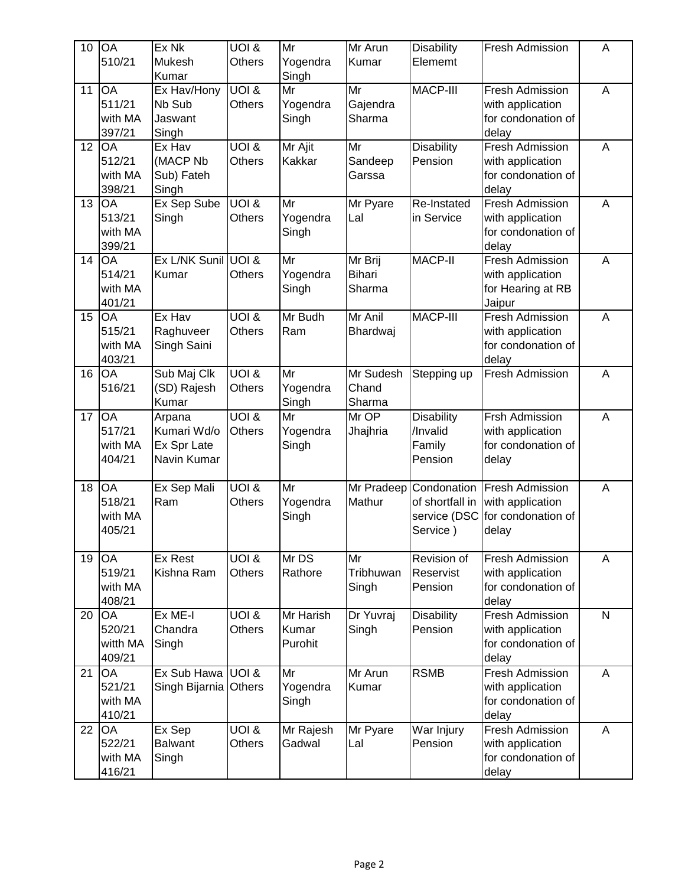| 10 | <b>OA</b><br>510/21                             | Ex Nk<br>Mukesh<br>Kumar                            | <b>UOI &amp;</b><br><b>Others</b>       | Mr<br>Yogendra<br>Singh       | Mr Arun<br>Kumar                   | <b>Disability</b><br>Elememt                               | <b>Fresh Admission</b>                                                    | A            |
|----|-------------------------------------------------|-----------------------------------------------------|-----------------------------------------|-------------------------------|------------------------------------|------------------------------------------------------------|---------------------------------------------------------------------------|--------------|
| 11 | OA<br>511/21<br>with MA<br>397/21               | Ex Hav/Hony<br>Nb Sub<br>Jaswant<br>Singh           | <b>UOI &amp;</b><br><b>Others</b>       | Mr<br>Yogendra<br>Singh       | Mr<br>Gajendra<br>Sharma           | MACP-III                                                   | Fresh Admission<br>with application<br>for condonation of<br>delay        | A            |
| 12 | OA<br>512/21<br>with MA<br>398/21               | Ex Hav<br>(MACP Nb<br>Sub) Fateh<br>Singh           | <b>UOI &amp;</b><br><b>Others</b>       | Mr Ajit<br>Kakkar             | Mr<br>Sandeep<br>Garssa            | <b>Disability</b><br>Pension                               | <b>Fresh Admission</b><br>with application<br>for condonation of<br>delay | A            |
| 13 | OA<br>513/21<br>with MA<br>399/21               | Ex Sep Sube<br>Singh                                | <b>UOI &amp;</b><br><b>Others</b>       | Mr<br>Yogendra<br>Singh       | Mr Pyare<br>Lal                    | Re-Instated<br>in Service                                  | Fresh Admission<br>with application<br>for condonation of<br>delay        | A            |
| 14 | <b>OA</b><br>514/21<br>with MA<br>401/21        | Ex L/NK Sunil UOI &<br>Kumar                        | <b>Others</b>                           | Mr<br>Yogendra<br>Singh       | Mr Brij<br><b>Bihari</b><br>Sharma | <b>MACP-II</b>                                             | <b>Fresh Admission</b><br>with application<br>for Hearing at RB<br>Jaipur | A            |
| 15 | OA<br>515/21<br>with MA<br>403/21               | Ex Hav<br>Raghuveer<br>Singh Saini                  | UOI &<br><b>Others</b>                  | Mr Budh<br>Ram                | Mr Anil<br>Bhardwaj                | <b>MACP-III</b>                                            | Fresh Admission<br>with application<br>for condonation of<br>delay        | A            |
| 16 | OA<br>516/21                                    | Sub Maj Clk<br>(SD) Rajesh<br>Kumar                 | <b>UOI &amp;</b><br>Others              | Mr<br>Yogendra<br>Singh       | Mr Sudesh<br>Chand<br>Sharma       | Stepping up                                                | Fresh Admission                                                           | A            |
| 17 | OA<br>517/21<br>with MA<br>404/21               | Arpana<br>Kumari Wd/o<br>Ex Spr Late<br>Navin Kumar | <b>UOI &amp;</b><br>Others              | Mr<br>Yogendra<br>Singh       | Mr OP<br>Jhajhria                  | <b>Disability</b><br>/Invalid<br>Family<br>Pension         | Frsh Admission<br>with application<br>for condonation of<br>delay         | A            |
| 18 | OA<br>518/21<br>with MA<br>405/21               | Ex Sep Mali<br>Ram                                  | <b>UOI &amp;</b><br><b>Others</b>       | Mr<br>Yogendra<br>Singh       | Mr Pradeep<br>Mathur               | Condonation<br>of shortfall in<br>service (DSC<br>Service) | <b>Fresh Admission</b><br>with application<br>for condonation of<br>delay | A            |
| 19 | OA<br>519/21<br>with MA<br>408/21               | Ex Rest<br>Kishna Ram                               | $U$ OI $\overline{\&}$<br><b>Others</b> | Mr DS<br>Rathore              | Mr<br>Tribhuwan<br>Singh           | Revision of<br>Reservist<br>Pension                        | Fresh Admission<br>with application<br>for condonation of<br>delay        | Α            |
| 20 | $O\overline{A}$<br>520/21<br>witth MA<br>409/21 | Ex ME-I<br>Chandra<br>Singh                         | <b>UOI &amp;</b><br><b>Others</b>       | Mr Harish<br>Kumar<br>Purohit | Dr Yuvraj<br>Singh                 | <b>Disability</b><br>Pension                               | <b>Fresh Admission</b><br>with application<br>for condonation of<br>delay | $\mathsf{N}$ |
| 21 | <b>OA</b><br>521/21<br>with MA<br>410/21        | Ex Sub Hawa<br>Singh Bijarnia Others                | UOI &                                   | Mr<br>Yogendra<br>Singh       | Mr Arun<br>Kumar                   | <b>RSMB</b>                                                | Fresh Admission<br>with application<br>for condonation of<br>delay        | A            |
| 22 | <b>OA</b><br>522/21<br>with MA<br>416/21        | Ex Sep<br><b>Balwant</b><br>Singh                   | <b>UOI &amp;</b><br><b>Others</b>       | Mr Rajesh<br>Gadwal           | Mr Pyare<br>Lal                    | War Injury<br>Pension                                      | <b>Fresh Admission</b><br>with application<br>for condonation of<br>delay | A            |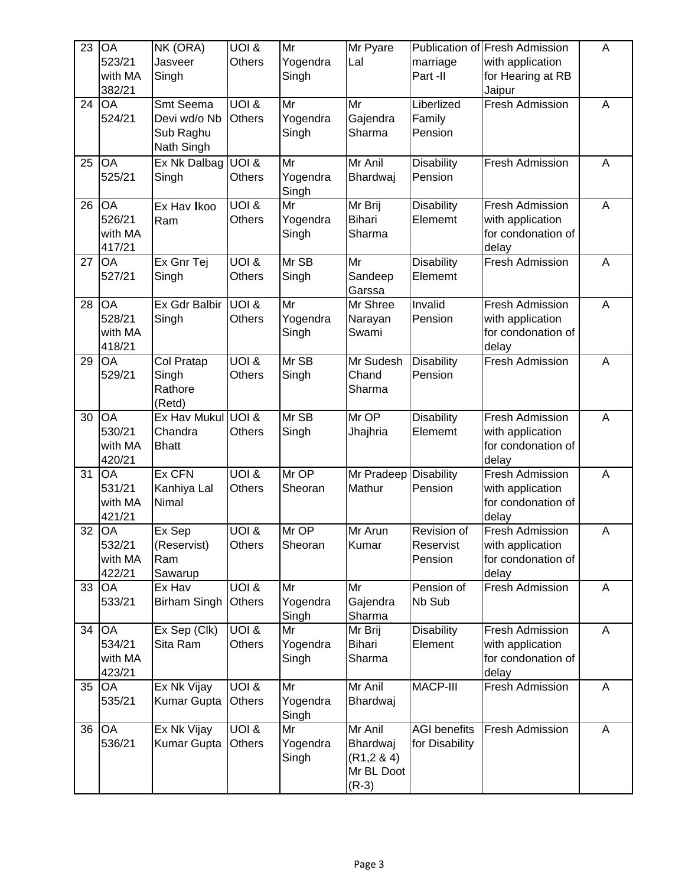| 23 | <b>OA</b><br>523/21<br>with MA<br>382/21       | NK (ORA)<br>Jasveer<br>Singh                         | $\overline{U}$ $\overline{O}$ $\overline{1}$ &<br><b>Others</b> | Mr<br>Yogendra<br>Singh | Mr Pyare<br>Lal                                           | marriage<br>Part -II                  | Publication of Fresh Admission<br>with application<br>for Hearing at RB<br>Jaipur | A           |
|----|------------------------------------------------|------------------------------------------------------|-----------------------------------------------------------------|-------------------------|-----------------------------------------------------------|---------------------------------------|-----------------------------------------------------------------------------------|-------------|
| 24 | OA<br>524/21                                   | Smt Seema<br>Devi wd/o Nb<br>Sub Raghu<br>Nath Singh | UOI &<br><b>Others</b>                                          | Mr<br>Yogendra<br>Singh | Mr<br>Gajendra<br>Sharma                                  | Liberlized<br>Family<br>Pension       | <b>Fresh Admission</b>                                                            | A           |
| 25 | OA<br>525/21                                   | Ex Nk Dalbag<br>Singh                                | UOI &<br><b>Others</b>                                          | Mr<br>Yogendra<br>Singh | Mr Anil<br>Bhardwaj                                       | <b>Disability</b><br>Pension          | <b>Fresh Admission</b>                                                            | A           |
| 26 | <b>OA</b><br>526/21<br>with MA<br>417/21       | Ex Hav Ikoo<br>Ram                                   | UOI &<br><b>Others</b>                                          | Mr<br>Yogendra<br>Singh | Mr Brij<br><b>Bihari</b><br>Sharma                        | <b>Disability</b><br>Elememt          | Fresh Admission<br>with application<br>for condonation of<br>delay                | A           |
| 27 | OA<br>527/21                                   | Ex Gnr Tej<br>Singh                                  | <b>UOI &amp;</b><br><b>Others</b>                               | Mr SB<br>Singh          | Mr<br>Sandeep<br>Garssa                                   | <b>Disability</b><br>Elememt          | <b>Fresh Admission</b>                                                            | A           |
| 28 | <b>OA</b><br>528/21<br>with MA<br>418/21       | Ex Gdr Balbir<br>Singh                               | UOI &<br><b>Others</b>                                          | Mr<br>Yogendra<br>Singh | Mr Shree<br>Narayan<br>Swami                              | Invalid<br>Pension                    | <b>Fresh Admission</b><br>with application<br>for condonation of<br>delay         | A           |
| 29 | OA<br>529/21                                   | Col Pratap<br>Singh<br>Rathore<br>(Retd)             | <b>UOI &amp;</b><br>Others                                      | Mr SB<br>Singh          | Mr Sudesh<br>Chand<br>Sharma                              | <b>Disability</b><br>Pension          | Fresh Admission                                                                   | A           |
| 30 | OA<br>530/21<br>with MA<br>420/21              | Ex Hav Mukul<br>Chandra<br><b>Bhatt</b>              | UOI &<br><b>Others</b>                                          | Mr SB<br>Singh          | Mr OP<br>Jhajhria                                         | <b>Disability</b><br>Elememt          | <b>Fresh Admission</b><br>with application<br>for condonation of<br>delay         | A           |
| 31 | $O\overline{A}$<br>531/21<br>with MA<br>421/21 | Ex CFN<br>Kanhiya Lal<br>Nimal                       | <b>UOI &amp;</b><br><b>Others</b>                               | Mr OP<br>Sheoran        | Mr Pradeep<br>Mathur                                      | <b>Disability</b><br>Pension          | <b>Fresh Admission</b><br>with application<br>for condonation of<br>delay         | A           |
| 32 | OA<br>532/21<br>with MA<br>422/21              | Ex Sep<br>(Reservist)<br>Ram<br>Sawarup              | UOI &<br>Others                                                 | Mr OP<br>Sheoran        | Mr Arun<br>Kumar                                          | Revision of<br>Reservist<br>Pension   | Fresh Admission<br>with application<br>for condonation of<br>delay                | A           |
| 33 | <b>OA</b><br>533/21                            | Ex Hav<br><b>Birham Singh</b>                        | <b>UOI &amp;</b><br><b>Others</b>                               | Mr<br>Yogendra<br>Singh | Mr<br>Gajendra<br>Sharma                                  | Pension of<br>Nb Sub                  | <b>Fresh Admission</b>                                                            | A           |
| 34 | <b>OA</b><br>534/21<br>with MA<br>423/21       | Ex Sep (Clk)<br>Sita Ram                             | <b>UOI &amp;</b><br><b>Others</b>                               | Mr<br>Yogendra<br>Singh | Mr Brij<br>Bihari<br>Sharma                               | <b>Disability</b><br>Element          | Fresh Admission<br>with application<br>for condonation of<br>delay                | $\mathsf A$ |
| 35 | <b>OA</b><br>535/21                            | Ex Nk Vijay<br>Kumar Gupta                           | UOI &<br><b>Others</b>                                          | Mr<br>Yogendra<br>Singh | Mr Anil<br>Bhardwaj                                       | MACP-III                              | Fresh Admission                                                                   | A           |
| 36 | <b>OA</b><br>536/21                            | Ex Nk Vijay<br>Kumar Gupta                           | UOI &<br><b>Others</b>                                          | Mr<br>Yogendra<br>Singh | Mr Anil<br>Bhardwaj<br>(R1, 284)<br>Mr BL Doot<br>$(R-3)$ | <b>AGI</b> benefits<br>for Disability | Fresh Admission                                                                   | A           |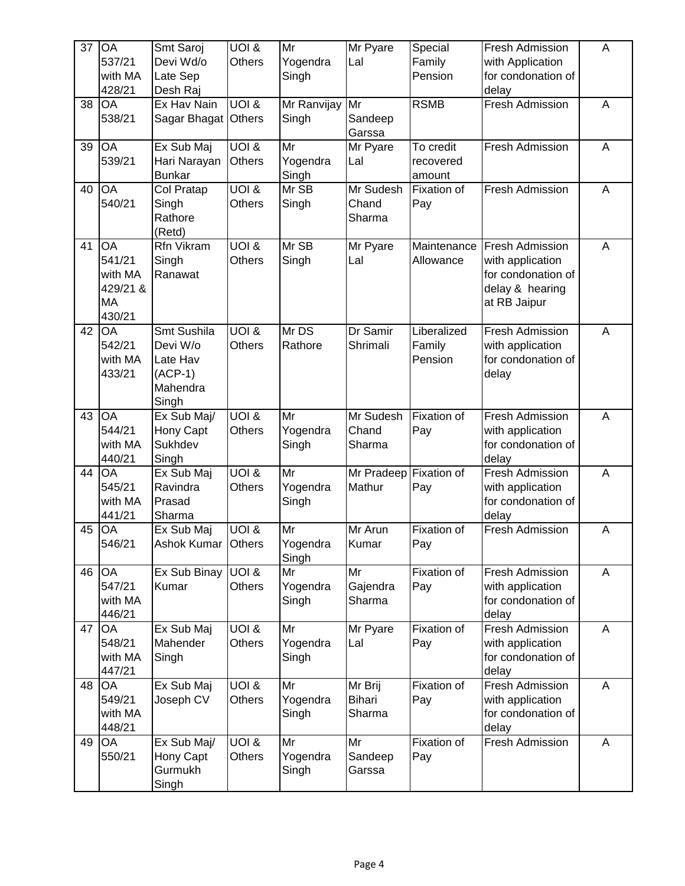| 37 | <b>OA</b><br>537/21<br>with MA<br>428/21                   | Smt Saroj<br>Devi Wd/o<br>Late Sep<br>Desh Raj                        | <b>UOI &amp;</b><br><b>Others</b> | Mr<br>Yogendra<br>Singh | Mr Pyare<br>Lal                    | Special<br>Family<br>Pension                            | <b>Fresh Admission</b><br>with Application<br>for condonation of<br>delay                    | A |
|----|------------------------------------------------------------|-----------------------------------------------------------------------|-----------------------------------|-------------------------|------------------------------------|---------------------------------------------------------|----------------------------------------------------------------------------------------------|---|
| 38 | OA<br>538/21                                               | Ex Hav Nain<br>Sagar Bhagat                                           | <b>UOI &amp;</b><br><b>Others</b> | Mr Ranvijay<br>Singh    | Mr<br>Sandeep<br>Garssa            | <b>RSMB</b>                                             | <b>Fresh Admission</b>                                                                       | A |
| 39 | OA<br>539/21                                               | Ex Sub Maj<br>Hari Narayan<br><b>Bunkar</b>                           | <b>UOI &amp;</b><br><b>Others</b> | Mr<br>Yogendra<br>Singh | Mr Pyare<br>Lal                    | $\overline{\mathsf{T}}$ o credit<br>recovered<br>amount | Fresh Admission                                                                              | A |
| 40 | OA<br>540/21                                               | Col Pratap<br>Singh<br>Rathore<br>(Retd)                              | <b>UOI &amp;</b><br>Others        | Mr SB<br>Singh          | Mr Sudesh<br>Chand<br>Sharma       | Fixation of<br>Pay                                      | <b>Fresh Admission</b>                                                                       | A |
| 41 | <b>OA</b><br>541/21<br>with MA<br>429/21 &<br>MA<br>430/21 | Rfn Vikram<br>Singh<br>Ranawat                                        | <b>UOI &amp;</b><br><b>Others</b> | Mr SB<br>Singh          | Mr Pyare<br>Lal                    | Maintenance<br>Allowance                                | Fresh Admission<br>with application<br>for condonation of<br>delay & hearing<br>at RB Jaipur | A |
| 42 | OA<br>542/21<br>with MA<br>433/21                          | Smt Sushila<br>Devi W/o<br>Late Hav<br>$(ACP-1)$<br>Mahendra<br>Singh | <b>UOI &amp;</b><br><b>Others</b> | Mr DS<br>Rathore        | Dr Samir<br>Shrimali               | Liberalized<br>Family<br>Pension                        | Fresh Admission<br>with application<br>for condonation of<br>delay                           | A |
| 43 | OA<br>544/21<br>with MA<br>440/21                          | Ex Sub Maj/<br>Hony Capt<br>Sukhdev<br>Singh                          | <b>UOI &amp;</b><br>Others        | Mr<br>Yogendra<br>Singh | Mr Sudesh<br>Chand<br>Sharma       | Fixation of<br>Pay                                      | <b>Fresh Admission</b><br>with application<br>for condonation of<br>delay                    | A |
| 44 | OA<br>545/21<br>with MA<br>441/21                          | Ex Sub Maj<br>Ravindra<br>Prasad<br>Sharma                            | <b>UOI &amp;</b><br>Others        | Mr<br>Yogendra<br>Singh | Mr Pradeep Fixation of<br>Mathur   | Pay                                                     | <b>Fresh Admission</b><br>with application<br>for condonation of<br>delay                    | A |
| 45 | OA<br>546/21                                               | Ex Sub Maj<br>Ashok Kumar                                             | UOI &<br><b>Others</b>            | Mr<br>Yogendra<br>Singh | Mr Arun<br>Kumar                   | Fixation of<br>Pay                                      | Fresh Admission                                                                              | A |
| 46 | OA<br>547/21<br>with MA<br>446/21                          | Ex Sub Binay<br>Kumar                                                 | UOI &<br>Others                   | Mr<br>Yogendra<br>Singh | Mr<br>Gajendra<br>Sharma           | Fixation of<br>Pay                                      | <b>Fresh Admission</b><br>with application<br>for condonation of<br>delay                    | A |
| 47 | <b>OA</b><br>548/21<br>with MA<br>447/21                   | Ex Sub Maj<br>Mahender<br>Singh                                       | <b>UOI &amp;</b><br>Others        | Mr<br>Yogendra<br>Singh | Mr Pyare<br>Lal                    | Fixation of<br>Pay                                      | <b>Fresh Admission</b><br>with application<br>for condonation of<br>delay                    | A |
| 48 | OA<br>549/21<br>with MA<br>448/21                          | Ex Sub Maj<br>Joseph CV                                               | <b>UOI &amp;</b><br>Others        | Mr<br>Yogendra<br>Singh | Mr Brij<br><b>Bihari</b><br>Sharma | Fixation of<br>Pay                                      | Fresh Admission<br>with application<br>for condonation of<br>delay                           | A |
| 49 | OA<br>550/21                                               | Ex Sub Maj/<br>Hony Capt<br>Gurmukh<br>Singh                          | <b>UOI &amp;</b><br>Others        | Mr<br>Yogendra<br>Singh | Mr<br>Sandeep<br>Garssa            | Fixation of<br>Pay                                      | Fresh Admission                                                                              | Α |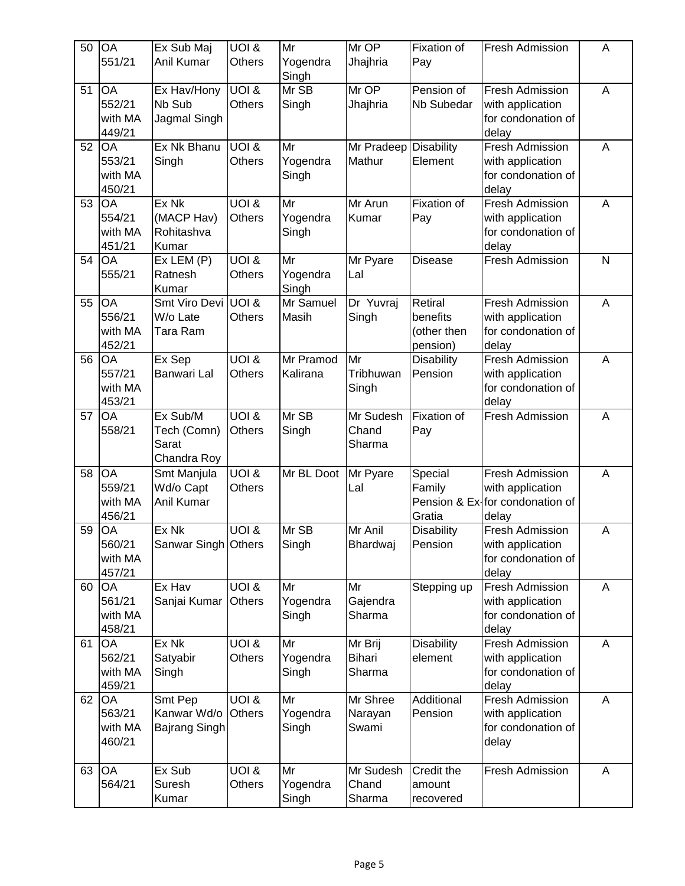| 50 | <b>OA</b><br>551/21                      | Ex Sub Maj<br>Anil Kumar                        | UOI &<br><b>Others</b>            | Mr<br>Yogendra<br>Singh | Mr OP<br>Jhajhria                  | Fixation of<br>Pay                             | <b>Fresh Admission</b>                                                          | A |
|----|------------------------------------------|-------------------------------------------------|-----------------------------------|-------------------------|------------------------------------|------------------------------------------------|---------------------------------------------------------------------------------|---|
| 51 | <b>OA</b><br>552/21<br>with MA<br>449/21 | Ex Hav/Hony<br>Nb Sub<br>Jagmal Singh           | <b>UOI &amp;</b><br><b>Others</b> | Mr SB<br>Singh          | Mr OP<br>Jhajhria                  | Pension of<br><b>Nb Subedar</b>                | Fresh Admission<br>with application<br>for condonation of<br>delay              | A |
| 52 | OA<br>553/21<br>with MA<br>450/21        | Ex Nk Bhanu<br>Singh                            | UOI &<br><b>Others</b>            | Mr<br>Yogendra<br>Singh | Mr Pradeep Disability<br>Mathur    | Element                                        | Fresh Admission<br>with application<br>for condonation of<br>delay              | A |
| 53 | OA<br>554/21<br>with MA<br>451/21        | Ex Nk<br>(MACP Hav)<br>Rohitashva<br>Kumar      | $\overline{U}$ OI &<br>Others     | Mr<br>Yogendra<br>Singh | Mr Arun<br>Kumar                   | Fixation of<br>Pay                             | Fresh Admission<br>with application<br>for condonation of<br>delay              | A |
| 54 | $\overline{OA}$<br>555/21                | Ex LEM (P)<br>Ratnesh<br>Kumar                  | <b>UOI &amp;</b><br><b>Others</b> | Mr<br>Yogendra<br>Singh | Mr Pyare<br>Lal                    | <b>Disease</b>                                 | <b>Fresh Admission</b>                                                          | N |
| 55 | OA<br>556/21<br>with MA<br>452/21        | Smt Viro Devi<br>W/o Late<br>Tara Ram           | UOI &<br>Others                   | Mr Samuel<br>Masih      | Dr Yuvraj<br>Singh                 | Retiral<br>benefits<br>(other then<br>pension) | Fresh Admission<br>with application<br>for condonation of<br>delay              | A |
| 56 | OA<br>557/21<br>with MA<br>453/21        | Ex Sep<br>Banwari Lal                           | <b>UOI &amp;</b><br><b>Others</b> | Mr Pramod<br>Kalirana   | Mr<br>Tribhuwan<br>Singh           | <b>Disability</b><br>Pension                   | Fresh Admission<br>with application<br>for condonation of<br>delay              | A |
| 57 | OA<br>558/21                             | Ex Sub/M<br>Tech (Comn)<br>Sarat<br>Chandra Roy | <b>UOI &amp;</b><br><b>Others</b> | Mr SB<br>Singh          | Mr Sudesh<br>Chand<br>Sharma       | <b>Fixation of</b><br>Pay                      | <b>Fresh Admission</b>                                                          | A |
| 58 | OA<br>559/21<br>with MA<br>456/21        | Smt Manjula<br>Wd/o Capt<br>Anil Kumar          | <b>UOI &amp;</b><br>Others        | Mr BL Doot              | Mr Pyare<br>Lal                    | Special<br>Family<br>Gratia                    | Fresh Admission<br>with application<br>Pension & Ex-for condonation of<br>delay | A |
| 59 | OA<br>560/21<br>with MA<br>457/21        | Ex Nk<br>Sanwar Singh Others                    | UOI &                             | Mr SB<br>Singh          | Mr Anil<br>Bhardwaj                | <b>Disability</b><br>Pension                   | <b>Fresh Admission</b><br>with application<br>for condonation of<br>delay       | A |
| 60 | OA<br>561/21<br>with MA<br>458/21        | Ex Hav<br>Sanjai Kumar                          | <b>UOI &amp;</b><br><b>Others</b> | Mr<br>Yogendra<br>Singh | Mr<br>Gajendra<br>Sharma           | Stepping up                                    | Fresh Admission<br>with application<br>for condonation of<br>delay              | A |
| 61 | OA<br>562/21<br>with MA<br>459/21        | Ex Nk<br>Satyabir<br>Singh                      | <b>UOI &amp;</b><br><b>Others</b> | Mr<br>Yogendra<br>Singh | Mr Brij<br><b>Bihari</b><br>Sharma | <b>Disability</b><br>element                   | <b>Fresh Admission</b><br>with application<br>for condonation of<br>delay       | A |
| 62 | OA<br>563/21<br>with MA<br>460/21        | Smt Pep<br>Kanwar Wd/o<br>Bajrang Singh         | <b>UOI &amp;</b><br><b>Others</b> | Mr<br>Yogendra<br>Singh | Mr Shree<br>Narayan<br>Swami       | Additional<br>Pension                          | Fresh Admission<br>with application<br>for condonation of<br>delay              | A |
| 63 | <b>OA</b><br>564/21                      | Ex Sub<br>Suresh<br>Kumar                       | <b>UOI &amp;</b><br>Others        | Mr<br>Yogendra<br>Singh | Mr Sudesh<br>Chand<br>Sharma       | Credit the<br>amount<br>recovered              | <b>Fresh Admission</b>                                                          | Α |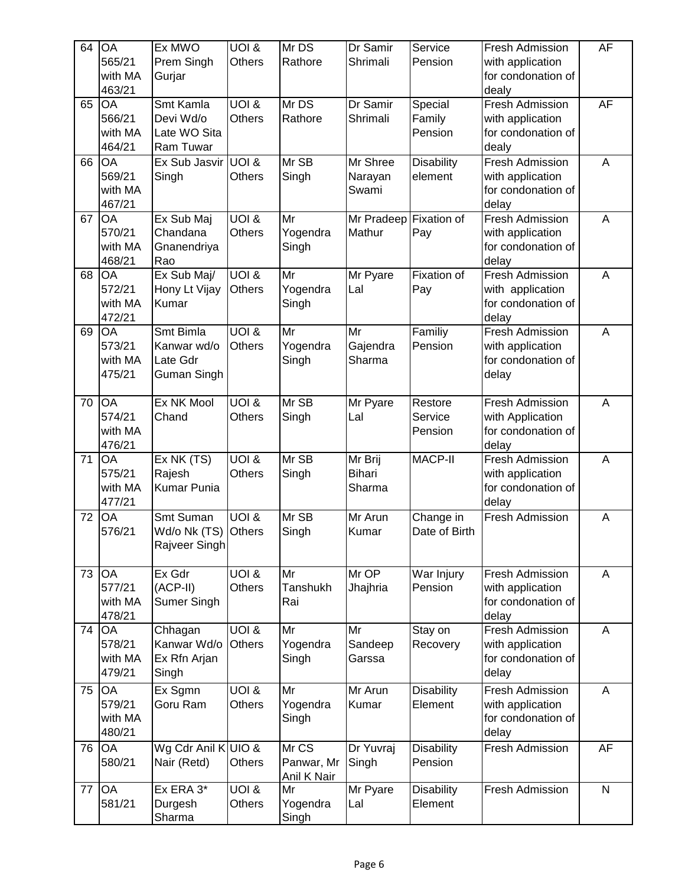| 64 | <b>OA</b><br>565/21<br>with MA<br>463/21 | Ex MWO<br>Prem Singh<br>Gurjar                      | UOI &<br><b>Others</b>            | Mr DS<br>Rathore                   | Dr Samir<br>Shrimali               | Service<br>Pension            | <b>Fresh Admission</b><br>with application<br>for condonation of<br>dealy | AF             |
|----|------------------------------------------|-----------------------------------------------------|-----------------------------------|------------------------------------|------------------------------------|-------------------------------|---------------------------------------------------------------------------|----------------|
| 65 | OA<br>566/21<br>with MA<br>464/21        | Smt Kamla<br>Devi Wd/o<br>Late WO Sita<br>Ram Tuwar | <b>UOI &amp;</b><br><b>Others</b> | Mr DS<br>Rathore                   | Dr Samir<br>Shrimali               | Special<br>Family<br>Pension  | <b>Fresh Admission</b><br>with application<br>for condonation of<br>dealy | <b>AF</b>      |
| 66 | OA<br>569/21<br>with MA<br>467/21        | Ex Sub Jasvir UOI &<br>Singh                        | <b>Others</b>                     | Mr SB<br>Singh                     | Mr Shree<br>Narayan<br>Swami       | <b>Disability</b><br>element  | <b>Fresh Admission</b><br>with application<br>for condonation of<br>delay | A              |
| 67 | <b>OA</b><br>570/21<br>with MA<br>468/21 | Ex Sub Maj<br>Chandana<br>Gnanendriya<br>Rao        | <b>UOI &amp;</b><br><b>Others</b> | Mr<br>Yogendra<br>Singh            | Mr Pradeep Fixation of<br>Mathur   | Pay                           | <b>Fresh Admission</b><br>with application<br>for condonation of<br>delay | A              |
| 68 | OA<br>572/21<br>with MA<br>472/21        | $\overline{Ex}$ Sub Maj/<br>Hony Lt Vijay<br>Kumar  | UOI &<br>Others                   | Mr<br>Yogendra<br>Singh            | Mr Pyare<br>Lal                    | Fixation of<br>Pay            | Fresh Admission<br>with application<br>for condonation of<br>delay        | A              |
| 69 | <b>OA</b><br>573/21<br>with MA<br>475/21 | Smt Bimla<br>Kanwar wd/o<br>Late Gdr<br>Guman Singh | <b>UOI &amp;</b><br>Others        | Mr<br>Yogendra<br>Singh            | Mr<br>Gajendra<br>Sharma           | Familiy<br>Pension            | <b>Fresh Admission</b><br>with application<br>for condonation of<br>delay | A              |
| 70 | OA<br>574/21<br>with MA<br>476/21        | Ex NK Mool<br>Chand                                 | UOI &<br><b>Others</b>            | Mr SB<br>Singh                     | Mr Pyare<br>Lal                    | Restore<br>Service<br>Pension | <b>Fresh Admission</b><br>with Application<br>for condonation of<br>delay | A              |
| 71 | <b>OA</b><br>575/21<br>with MA<br>477/21 | Ex NK (TS)<br>Rajesh<br>Kumar Punia                 | <b>UOI &amp;</b><br>Others        | Mr SB<br>Singh                     | Mr Brij<br><b>Bihari</b><br>Sharma | MACP-II                       | <b>Fresh Admission</b><br>with application<br>for condonation of<br>delay | A              |
| 72 | OA<br>576/21                             | Smt Suman<br>Wd/o Nk (TS)<br>Rajveer Singh          | UOI &<br><b>Others</b>            | Mr SB<br>Singh                     | Mr Arun<br>Kumar                   | Change in<br>Date of Birth    | Fresh Admission                                                           | A              |
| 73 | <b>OA</b><br>577/21<br>with MA<br>478/21 | Ex Gdr<br>(ACP-II)<br>Sumer Singh                   | <b>UOI &amp;</b><br>Others        | Mr<br>Tanshukh<br>Rai              | Mr OP<br>Jhajhria                  | War Injury<br>Pension         | Fresh Admission<br>with application<br>for condonation of<br>delay        | $\overline{A}$ |
| 74 | OA<br>578/21<br>with MA<br>479/21        | Chhagan<br>Kanwar Wd/o<br>Ex Rfn Arjan<br>Singh     | <b>UOI &amp;</b><br><b>Others</b> | Mr<br>Yogendra<br>Singh            | Mr<br>Sandeep<br>Garssa            | Stay on<br>Recovery           | Fresh Admission<br>with application<br>for condonation of<br>delay        | A              |
| 75 | <b>OA</b><br>579/21<br>with MA<br>480/21 | Ex Sgmn<br>Goru Ram                                 | <b>UOI &amp;</b><br><b>Others</b> | Mr<br>Yogendra<br>Singh            | Mr Arun<br>Kumar                   | <b>Disability</b><br>Element  | Fresh Admission<br>with application<br>for condonation of<br>delay        | A              |
| 76 | <b>OA</b><br>580/21                      | Wg Cdr Anil K UIO &<br>Nair (Retd)                  | Others                            | Mr CS<br>Panwar, Mr<br>Anil K Nair | Dr Yuvraj<br>Singh                 | <b>Disability</b><br>Pension  | Fresh Admission                                                           | AF             |
| 77 | <b>OA</b><br>581/21                      | Ex ERA 3*<br>Durgesh<br>Sharma                      | UOI &<br>Others                   | Mr<br>Yogendra<br>Singh            | Mr Pyare<br>Lal                    | <b>Disability</b><br>Element  | Fresh Admission                                                           | $\overline{N}$ |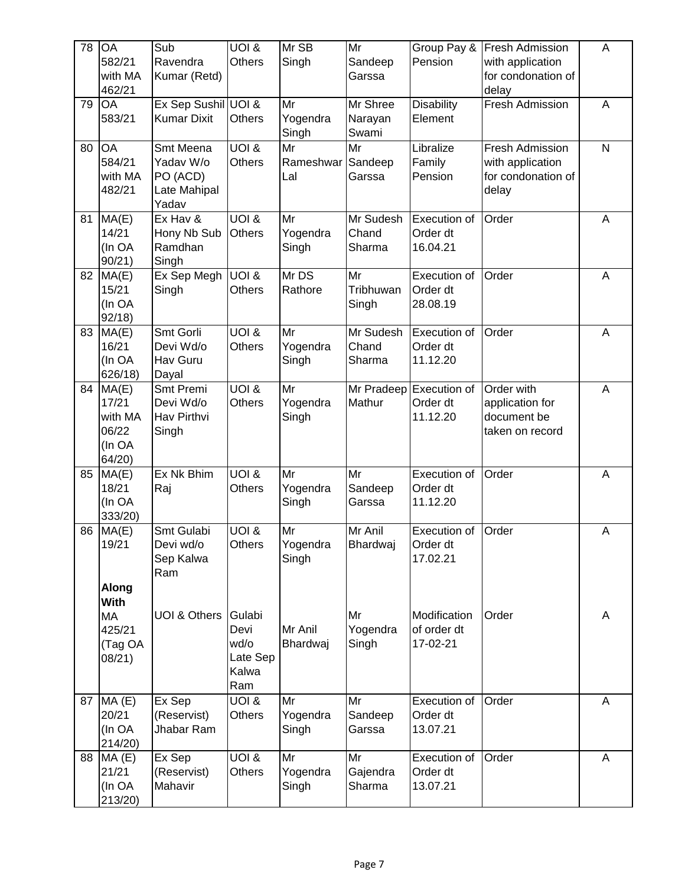| 78 | OA<br>582/21<br>with MA<br>462/21                     | Sub<br>Ravendra<br>Kumar (Retd)                                   | <b>UOI &amp;</b><br><b>Others</b>                  | Mr SB<br>Singh          | Mr<br>Sandeep<br>Garssa      | Group Pay &<br>Pension                          | <b>Fresh Admission</b><br>with application<br>for condonation of<br>delay | A            |
|----|-------------------------------------------------------|-------------------------------------------------------------------|----------------------------------------------------|-------------------------|------------------------------|-------------------------------------------------|---------------------------------------------------------------------------|--------------|
| 79 | OA<br>583/21                                          | Ex Sep Sushil UOI &<br><b>Kumar Dixit</b>                         | <b>Others</b>                                      | Mr<br>Yogendra<br>Singh | Mr Shree<br>Narayan<br>Swami | <b>Disability</b><br>Element                    | <b>Fresh Admission</b>                                                    | A            |
| 80 | OA<br>584/21<br>with MA<br>482/21                     | Smt Meena<br>Yadav W/o<br>PO (ACD)<br>Late Mahipal<br>Yadav       | <b>UOI &amp;</b><br><b>Others</b>                  | Mr<br>Rameshwar<br>Lal  | Mr<br>Sandeep<br>Garssa      | Libralize<br>Family<br>Pension                  | <b>Fresh Admission</b><br>with application<br>for condonation of<br>delay | $\mathsf{N}$ |
| 81 | MA(E)<br>14/21<br>(In OA<br>90/21)                    | Ex Hav $\overline{\mathbf{g}}$<br>Hony Nb Sub<br>Ramdhan<br>Singh | <b>UOI &amp;</b><br><b>Others</b>                  | Mr<br>Yogendra<br>Singh | Mr Sudesh<br>Chand<br>Sharma | Execution of<br>Order dt<br>16.04.21            | Order                                                                     | A            |
| 82 | MA(E)<br>15/21<br>(In OA<br>92/18                     | Ex Sep Megh<br>Singh                                              | <b>UOI &amp;</b><br><b>Others</b>                  | Mr DS<br>Rathore        | Mr<br>Tribhuwan<br>Singh     | Execution of<br>Order dt<br>28.08.19            | Order                                                                     | A            |
| 83 | MA(E)<br>16/21<br>(In OA<br>626/18)                   | Smt Gorli<br>Devi Wd/o<br>Hav Guru<br>Dayal                       | <b>UOI &amp;</b><br><b>Others</b>                  | Mr<br>Yogendra<br>Singh | Mr Sudesh<br>Chand<br>Sharma | Execution of<br>Order dt<br>11.12.20            | Order                                                                     | A            |
| 84 | MA(E)<br>17/21<br>with MA<br>06/22<br>(In OA<br>64/20 | Smt Premi<br>Devi Wd/o<br>Hav Pirthvi<br>Singh                    | <b>UOI &amp;</b><br><b>Others</b>                  | Mr<br>Yogendra<br>Singh | Mathur                       | Mr Pradeep Execution of<br>Order dt<br>11.12.20 | Order with<br>application for<br>document be<br>taken on record           | A            |
| 85 | MA(E)<br>18/21<br>(In OA<br>333/20)                   | Ex Nk Bhim<br>Raj                                                 | $\overline{UOL}$ &<br><b>Others</b>                | Mr<br>Yogendra<br>Singh | Mr<br>Sandeep<br>Garssa      | Execution of<br>Order dt<br>11.12.20            | Order                                                                     | A            |
| 86 | MA(E)<br>19/21<br><b>Along</b>                        | Smt Gulabi<br>Devi wd/o<br>Sep Kalwa<br>Ram                       | <b>UOI &amp;</b><br>Others                         | Mr<br>Yogendra<br>Singh | Mr Anil<br>Bhardwaj          | <b>Execution of</b><br>Order dt<br>17.02.21     | Order                                                                     | A            |
|    | <b>With</b><br>MA<br>425/21<br>(Tag OA<br>08/21)      | UOI & Others                                                      | Gulabi<br>Devi<br>wd/o<br>Late Sep<br>Kalwa<br>Ram | Mr Anil<br>Bhardwaj     | Mr<br>Yogendra<br>Singh      | Modification<br>of order dt<br>17-02-21         | Order                                                                     | Α            |
| 87 | MA(E)<br>20/21<br>(In OA<br>214/20)                   | Ex Sep<br>(Reservist)<br>Jhabar Ram                               | <b>UOI &amp;</b><br>Others                         | Mr<br>Yogendra<br>Singh | Mr<br>Sandeep<br>Garssa      | Execution of<br>Order dt<br>13.07.21            | Order                                                                     | Α            |
| 88 | MA(E)<br>21/21<br>(In OA<br>213/20)                   | Ex Sep<br>(Reservist)<br>Mahavir                                  | <b>UOI &amp;</b><br><b>Others</b>                  | Mr<br>Yogendra<br>Singh | Mr<br>Gajendra<br>Sharma     | Execution of<br>Order dt<br>13.07.21            | Order                                                                     | A            |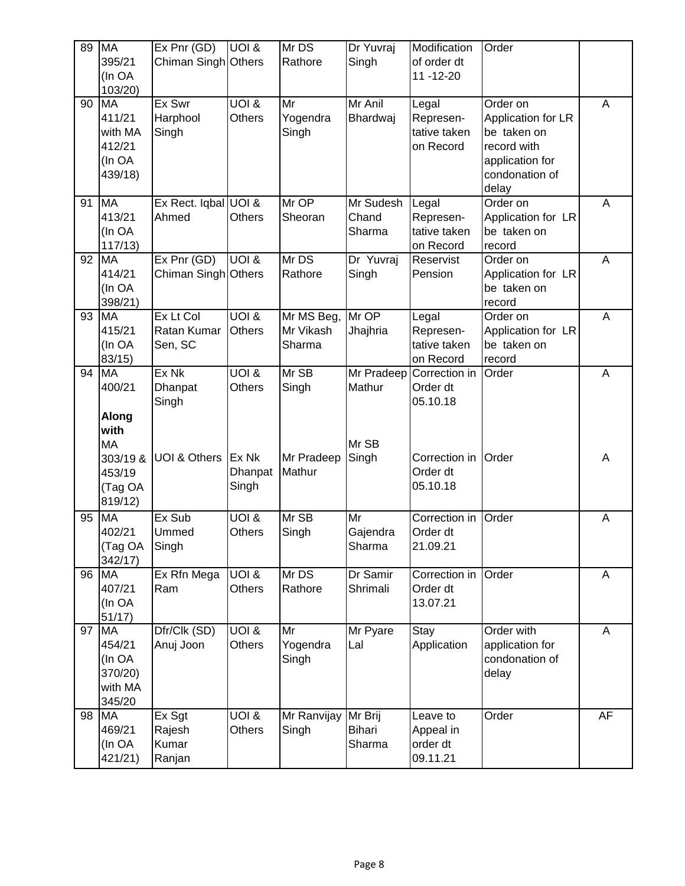| 89 | <b>MA</b>          | Ex Pr(GD)               | UOI &            | Mr DS       | Dr Yuvraj     | Modification               | Order              |    |
|----|--------------------|-------------------------|------------------|-------------|---------------|----------------------------|--------------------|----|
|    | 395/21             | Chiman Singh Others     |                  | Rathore     | Singh         | of order dt                |                    |    |
|    | (In OA             |                         |                  |             |               | $11 - 12 - 20$             |                    |    |
|    | 103/20)            |                         |                  |             |               |                            |                    |    |
| 90 | <b>MA</b>          | Ex Swr                  | UOI 8            | Mr          | Mr Anil       | Legal                      | Order on           | A  |
|    | 411/21             | Harphool                | Others           | Yogendra    | Bhardwaj      | Represen-                  | Application for LR |    |
|    | with MA            | Singh                   |                  | Singh       |               | tative taken               | be taken on        |    |
|    | 412/21             |                         |                  |             |               | on Record                  | record with        |    |
|    | (In OA             |                         |                  |             |               |                            | application for    |    |
|    | 439/18)            |                         |                  |             |               |                            | condonation of     |    |
|    |                    |                         |                  |             |               |                            | delay              |    |
| 91 | <b>MA</b>          | Ex Rect. Iqbal UOI &    |                  | Mr OP       | Mr Sudesh     | Legal                      | Order on           | A  |
|    | 413/21             | Ahmed                   | <b>Others</b>    | Sheoran     | Chand         | Represen-                  | Application for LR |    |
|    | (In OA             |                         |                  |             | Sharma        | tative taken               | be taken on        |    |
|    | 117/13)            |                         |                  |             |               | on Record                  | record             |    |
| 92 | <b>MA</b>          | Ex Pnr (GD)             | <b>BIOU</b>      | Mr DS       | Dr Yuvraj     | Reservist                  | Order on           | A  |
|    | 414/21             | Chiman Singh Others     |                  | Rathore     | Singh         | Pension                    | Application for LR |    |
|    | (In OA             |                         |                  |             |               |                            | be taken on        |    |
|    | 398/21)            |                         |                  |             |               |                            | record             |    |
| 93 | $M\overline{A}$    | Ex Lt Col               | UOI 8            | Mr MS Beg,  | Mr OP         | Legal                      | Order on           | A  |
|    | 415/21             | Ratan Kumar             | <b>Others</b>    | Mr Vikash   | Jhajhria      | Represen-                  | Application for LR |    |
|    | (In OA             | Sen, SC                 |                  | Sharma      |               | tative taken               | be taken on        |    |
| 94 | 83/15<br><b>MA</b> | Ex Nk                   | <b>UOI &amp;</b> | Mr SB       | Mr Pradeep    | on Record<br>Correction in | record<br>Order    | A  |
|    | 400/21             | Dhanpat                 | <b>Others</b>    | Singh       | Mathur        | Order dt                   |                    |    |
|    |                    | Singh                   |                  |             |               | 05.10.18                   |                    |    |
|    | Along              |                         |                  |             |               |                            |                    |    |
|    | with               |                         |                  |             |               |                            |                    |    |
|    | <b>MA</b>          |                         |                  |             | Mr SB         |                            |                    |    |
|    | 303/19 &           | <b>UOI &amp; Others</b> | Ex Nk            | Mr Pradeep  | Singh         | Correction in              | Order              | Α  |
|    | 453/19             |                         | Dhanpat          | Mathur      |               | Order dt                   |                    |    |
|    | (Tag OA            |                         | Singh            |             |               | 05.10.18                   |                    |    |
|    | 819/12)            |                         |                  |             |               |                            |                    |    |
| 95 | <b>MA</b>          | Ex Sub                  | <b>UOI &amp;</b> | Mr SB       | Mr            | Correction in              | Order              | A  |
|    | 402/21             | Ummed                   | <b>Others</b>    | Singh       | Gajendra      | Order dt                   |                    |    |
|    | (Tag OA            | Singh                   |                  |             | Sharma        | 21.09.21                   |                    |    |
|    | 342/17)            |                         |                  |             |               |                            |                    |    |
| 96 | <b>MA</b>          | Ex Rfn Mega             | <b>BIOU</b>      | Mr DS       | Dr Samir      | Correction in              | Order              | A  |
|    | 407/21             | Ram                     | <b>Others</b>    | Rathore     | Shrimali      | Order dt                   |                    |    |
|    | (In OA             |                         |                  |             |               | 13.07.21                   |                    |    |
|    | 51/17)             |                         |                  |             |               |                            |                    |    |
| 97 | <b>MA</b>          | Dfr/Clk (SD)            | <b>UOI &amp;</b> | Mr          | Mr Pyare      | Stay                       | Order with         | A  |
|    | 454/21             | Anuj Joon               | Others           | Yogendra    | Lal           | Application                | application for    |    |
|    | (In OA             |                         |                  | Singh       |               |                            | condonation of     |    |
|    | 370/20)            |                         |                  |             |               |                            | delay              |    |
|    | with MA            |                         |                  |             |               |                            |                    |    |
|    | 345/20             |                         |                  |             |               |                            |                    |    |
| 98 | <b>MA</b>          | Ex Sgt                  | <b>UOI &amp;</b> | Mr Ranvijay | Mr Brij       | Leave to                   | Order              | AF |
|    | 469/21             | Rajesh                  | <b>Others</b>    | Singh       | <b>Bihari</b> | Appeal in                  |                    |    |
|    | (In OA             | Kumar                   |                  |             | Sharma        | order dt                   |                    |    |
|    | 421/21)            | Ranjan                  |                  |             |               | 09.11.21                   |                    |    |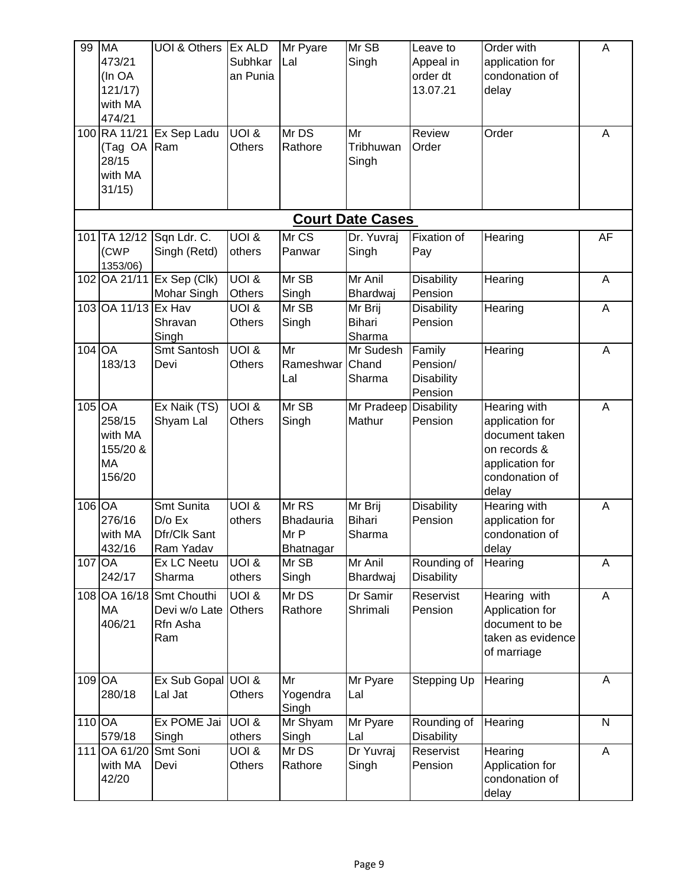| 99       | <b>MA</b><br>473/21<br>(In OA<br>121/17<br>with MA<br>474/21 | <b>UOI &amp; Others</b>                             | Ex ALD<br>Subhkar<br>an Punia     | Mr Pyare<br>Lal                         | Mr SB<br>Singh                     | Leave to<br>Appeal in<br>order dt<br>13.07.21      | Order with<br>application for<br>condonation of<br>delay                                                        | A            |
|----------|--------------------------------------------------------------|-----------------------------------------------------|-----------------------------------|-----------------------------------------|------------------------------------|----------------------------------------------------|-----------------------------------------------------------------------------------------------------------------|--------------|
|          | 100 RA 11/21<br>(Tag OA<br>28/15<br>with MA<br>31/15         | Ex Sep Ladu<br>Ram                                  | <b>UOI &amp;</b><br><b>Others</b> | Mr DS<br>Rathore                        | Mr<br>Tribhuwan<br>Singh           | Review<br>Order                                    | Order                                                                                                           | A            |
|          |                                                              |                                                     |                                   |                                         | <b>Court Date Cases</b>            |                                                    |                                                                                                                 |              |
|          | 101 TA 12/12<br>(CWP<br>1353/06)                             | Sqn Ldr. C.<br>Singh (Retd)                         | <b>UOI &amp;</b><br>others        | Mr CS<br>Panwar                         | Dr. Yuvraj<br>Singh                | Fixation of<br>Pay                                 | Hearing                                                                                                         | AF           |
| 102      | OA 21/11                                                     | Ex Sep (Clk)<br>Mohar Singh                         | <b>UOI &amp;</b><br><b>Others</b> | Mr SB<br>Singh                          | Mr Anil<br>Bhardwaj                | <b>Disability</b><br>Pension                       | Hearing                                                                                                         | A            |
| 103      | OA 11/13                                                     | Ex Hav<br>Shravan<br>Singh                          | <b>JOI &amp;</b><br><b>Others</b> | Mr SB<br>Singh                          | Mr Brij<br><b>Bihari</b><br>Sharma | <b>Disability</b><br>Pension                       | Hearing                                                                                                         | A            |
| 104 OA   | 183/13                                                       | Smt Santosh<br>Devi                                 | <b>UOI &amp;</b><br><b>Others</b> | Mr<br>Rameshwar<br>Lal                  | Mr Sudesh<br>Chand<br>Sharma       | Family<br>Pension/<br><b>Disability</b><br>Pension | Hearing                                                                                                         | A            |
| $105$ OA | 258/15<br>with MA<br>155/20 &<br>MA<br>156/20                | Ex Naik (TS)<br>Shyam Lal                           | <b>UOI &amp;</b><br><b>Others</b> | Mr SB<br>Singh                          | Mr Pradeep<br>Mathur               | <b>Disability</b><br>Pension                       | Hearing with<br>application for<br>document taken<br>on records &<br>application for<br>condonation of<br>delay | A            |
| 106 OA   | 276/16<br>with MA<br>432/16                                  | Smt Sunita<br>$D/O$ Ex<br>Dfr/Clk Sant<br>Ram Yadav | <b>UOI &amp;</b><br>others        | Mr RS<br>Bhadauria<br>Mr P<br>Bhatnagar | Mr Brij<br><b>Bihari</b><br>Sharma | <b>Disability</b><br>Pension                       | Hearing with<br>application for<br>condonation of<br>delay                                                      | A            |
| 107 OA   | 242/17                                                       | <b>Ex LC Neetu</b><br>Sharma                        | <b>UOI &amp;</b><br>others        | Mr SB<br>Singh                          | Mr Anil<br>Bhardwaj                | Rounding of<br><b>Disability</b>                   | Hearing                                                                                                         | A            |
|          | 108 OA 16/18<br>MA<br>406/21                                 | Smt Chouthi<br>Devi w/o Late<br>Rfn Asha<br>Ram     | <b>UOI &amp;</b><br><b>Others</b> | Mr DS<br>Rathore                        | Dr Samir<br>Shrimali               | Reservist<br>Pension                               | Hearing with<br>Application for<br>document to be<br>taken as evidence<br>of marriage                           | A            |
| 109 OA   | 280/18                                                       | Ex Sub Gopal UOI &<br>Lal Jat                       | Others                            | Mr<br>Yogendra<br>Singh                 | Mr Pyare<br>Lal                    | Stepping Up                                        | Hearing                                                                                                         | A            |
| 110 OA   | 579/18                                                       | Ex POME Jai<br>Singh                                | UOI &<br>others                   | Mr Shyam<br>Singh                       | Mr Pyare<br>Lal                    | Rounding of<br><b>Disability</b>                   | Hearing                                                                                                         | $\mathsf{N}$ |
| 111      | OA 61/20<br>with MA<br>42/20                                 | Smt Soni<br>Devi                                    | <b>JOI &amp;</b><br>Others        | Mr DS<br>Rathore                        | Dr Yuvraj<br>Singh                 | Reservist<br>Pension                               | Hearing<br>Application for<br>condonation of<br>delay                                                           | A            |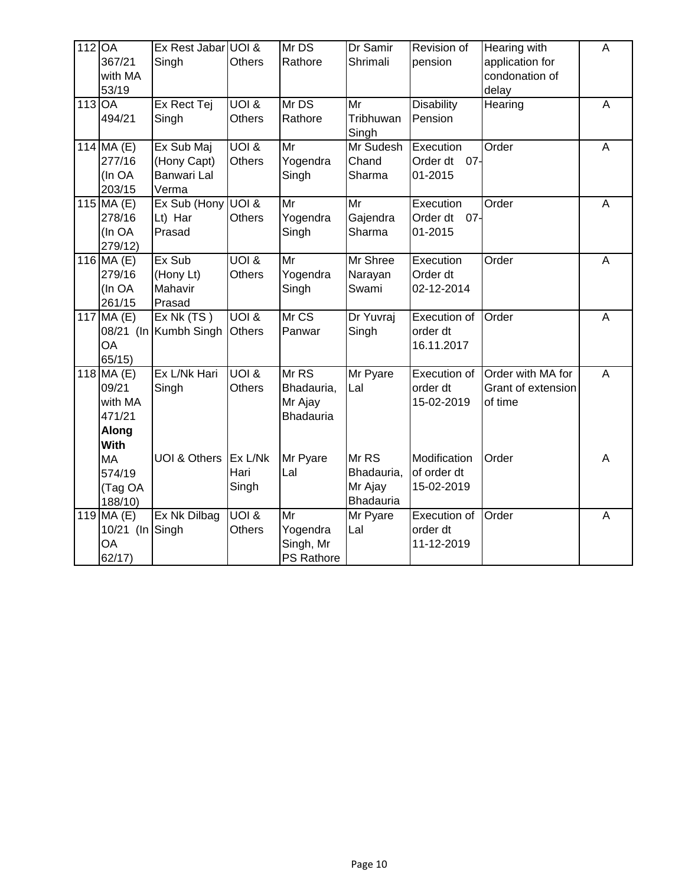| 112 OA   | 367/21<br>with MA<br>53/19                                        | Ex Rest Jabar UOI &<br>Singh                      | <b>Others</b>                     | Mr DS<br>Rathore                                       | Dr Samir<br>Shrimali                           | Revision of<br>pension                     | Hearing with<br>application for<br>condonation of<br>delay | A              |
|----------|-------------------------------------------------------------------|---------------------------------------------------|-----------------------------------|--------------------------------------------------------|------------------------------------------------|--------------------------------------------|------------------------------------------------------------|----------------|
| $113$ OA | 494/21                                                            | Ex Rect Tej<br>Singh                              | <b>UOI &amp;</b><br><b>Others</b> | Mr DS<br>Rathore                                       | $\overline{\mathsf{Mr}}$<br>Tribhuwan<br>Singh | <b>Disability</b><br>Pension               | Hearing                                                    | A              |
|          | 114 MA (E)<br>277/16<br>(In OA<br>203/15                          | Ex Sub Maj<br>(Hony Capt)<br>Banwari Lal<br>Verma | <b>UOI &amp;</b><br><b>Others</b> | Mr<br>Yogendra<br>Singh                                | Mr Sudesh<br>Chand<br>Sharma                   | Execution<br>Order dt<br>$07 -$<br>01-2015 | Order                                                      | A              |
|          | 115 MA (E)<br>278/16<br>(In OA<br>279/12)                         | Ex Sub (Hony<br>Lt) Har<br>Prasad                 | UOI &<br><b>Others</b>            | Mr<br>Yogendra<br>Singh                                | Mr<br>Gajendra<br>Sharma                       | Execution<br>Order dt 07-<br>01-2015       | Order                                                      | A              |
|          | 116 $MA(E)$<br>279/16<br>(In OA<br>261/15                         | Ex Sub<br>(Hony Lt)<br>Mahavir<br>Prasad          | UOI 8<br><b>Others</b>            | Mr<br>Yogendra<br>Singh                                | Mr Shree<br>Narayan<br>Swami                   | Execution<br>Order dt<br>02-12-2014        | Order                                                      | A              |
|          | 117 MA (E)<br><b>OA</b><br>65/15)                                 | Ex Nk(TS)<br>08/21 (In Kumbh Singh                | <b>UOI &amp;</b><br><b>Others</b> | Mr CS<br>Panwar                                        | Dr Yuvraj<br>Singh                             | Execution of<br>order dt<br>16.11.2017     | Order                                                      | A              |
|          | 118 $MA(E)$<br>09/21<br>with MA<br>471/21<br>Along<br><b>With</b> | Ex L/Nk Hari<br>Singh                             | <b>UOI &amp;</b><br><b>Others</b> | Mr <sub>RS</sub><br>Bhadauria,<br>Mr Ajay<br>Bhadauria | Mr Pyare<br>Lal                                | Execution of<br>order dt<br>15-02-2019     | Order with MA for<br>Grant of extension<br>of time         | A              |
|          | <b>MA</b><br>574/19<br>(Tag OA<br>188/10)                         | UOI & Others                                      | Ex L/Nk<br>Hari<br>Singh          | Mr Pyare<br>Lal                                        | Mr RS<br>Bhadauria,<br>Mr Ajay<br>Bhadauria    | Modification<br>of order dt<br>15-02-2019  | Order                                                      | Α              |
|          | $119$ MA $(E)$<br>10/21 (In Singh<br><b>OA</b><br>62/17)          | Ex Nk Dilbag                                      | <b>UOI &amp;</b><br><b>Others</b> | Mr<br>Yogendra<br>Singh, Mr<br>PS Rathore              | Mr Pyare<br>Lal                                | Execution of<br>order dt<br>11-12-2019     | Order                                                      | $\overline{A}$ |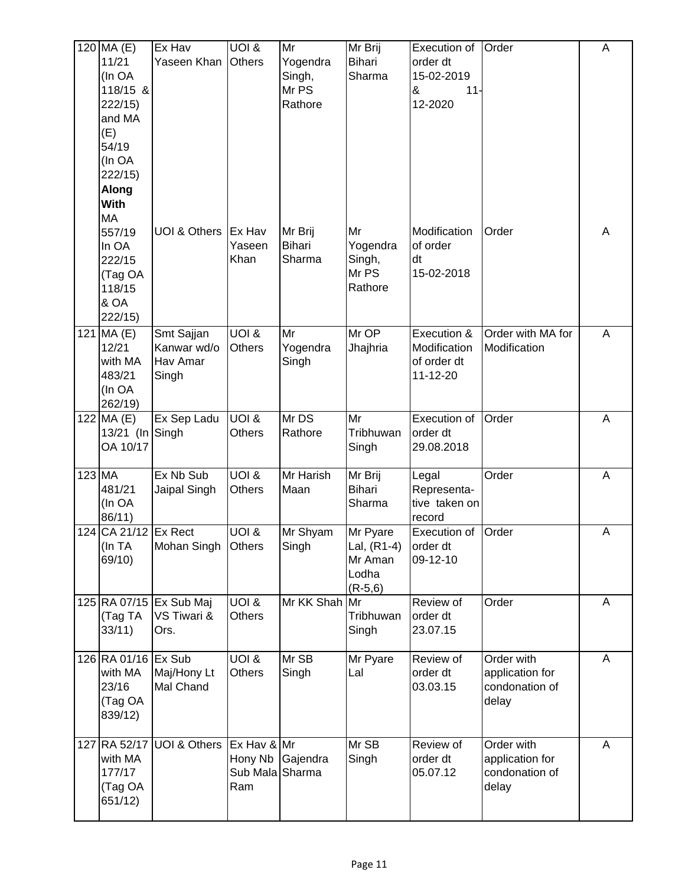|        | $120$ MA $(E)$       | Ex Hav                                 | <b>UOI &amp;</b>                  | Mr            | Mr Brij       | Execution of          | Order             | A |
|--------|----------------------|----------------------------------------|-----------------------------------|---------------|---------------|-----------------------|-------------------|---|
|        | 11/21                | Yaseen Khan                            | <b>Others</b>                     | Yogendra      | <b>Bihari</b> | order dt              |                   |   |
|        | (In OA               |                                        |                                   | Singh,        | Sharma        | 15-02-2019            |                   |   |
|        | 118/15 &             |                                        |                                   | Mr PS         |               | &<br>$11 -$           |                   |   |
|        | 222/15)              |                                        |                                   | Rathore       |               | 12-2020               |                   |   |
|        | and MA               |                                        |                                   |               |               |                       |                   |   |
|        | (E)                  |                                        |                                   |               |               |                       |                   |   |
|        | 54/19                |                                        |                                   |               |               |                       |                   |   |
|        | (In OA               |                                        |                                   |               |               |                       |                   |   |
|        | 222/15)              |                                        |                                   |               |               |                       |                   |   |
|        | <b>Along</b>         |                                        |                                   |               |               |                       |                   |   |
|        | <b>With</b>          |                                        |                                   |               |               |                       |                   |   |
|        | MA                   |                                        |                                   |               |               |                       |                   |   |
|        | 557/19               | <b>UOI &amp; Others</b>                | Ex Hav                            | Mr Brij       | Mr            | Modification          | Order             | Α |
|        | In OA                |                                        | Yaseen                            | Bihari        | Yogendra      | of order              |                   |   |
|        | 222/15               |                                        | Khan                              | Sharma        | Singh,        | dt                    |                   |   |
|        | (Tag OA              |                                        |                                   |               | Mr PS         | 15-02-2018            |                   |   |
|        | 118/15               |                                        |                                   |               | Rathore       |                       |                   |   |
|        | & OA                 |                                        |                                   |               |               |                       |                   |   |
|        | 222/15               |                                        |                                   |               |               |                       |                   |   |
|        | $121$ MA (E)         | Smt Sajjan                             | <b>UOI &amp;</b>                  | Mr            | Mr OP         | Execution &           | Order with MA for | A |
|        | 12/21                | Kanwar wd/o                            | <b>Others</b>                     | Yogendra      | Jhajhria      | Modification          | Modification      |   |
|        | with MA              | <b>Hav Amar</b>                        |                                   | Singh         |               | of order dt           |                   |   |
|        | 483/21               | Singh                                  |                                   |               |               | 11-12-20              |                   |   |
|        | (In OA               |                                        |                                   |               |               |                       |                   |   |
|        | 262/19)              |                                        |                                   |               |               |                       |                   |   |
|        | $122$ MA (E)         | Ex Sep Ladu                            | <b>UOI &amp;</b>                  | MrDS          | Mr            | Execution of          | Order             | A |
|        | 13/21 (In Singh      |                                        | <b>Others</b>                     | Rathore       | Tribhuwan     | order dt              |                   |   |
|        | OA 10/17             |                                        |                                   |               | Singh         | 29.08.2018            |                   |   |
|        |                      |                                        |                                   |               |               |                       |                   |   |
| 123 MA |                      | Ex Nb Sub                              | <b>UOI &amp;</b>                  | Mr Harish     | Mr Brij       | Legal                 | Order             | A |
|        | 481/21               | Jaipal Singh                           | <b>Others</b>                     | Maan          | <b>Bihari</b> | Representa-           |                   |   |
|        | (In OA               |                                        |                                   |               | Sharma        | tive taken on         |                   |   |
|        | 86/11)               |                                        |                                   |               |               | record                |                   |   |
|        | 124 CA 21/12 Ex Rect |                                        | <b>UOI &amp;</b>                  | Mr Shyam      | Mr Pyare      | Execution of          | Order             | A |
|        | (In TA               | Mohan Singh                            | <b>Others</b>                     | Singh         | Lal, (R1-4)   | order dt              |                   |   |
|        | 69/10)               |                                        |                                   |               | Mr Aman       | 09-12-10              |                   |   |
|        |                      |                                        |                                   |               | Lodha         |                       |                   |   |
|        |                      |                                        |                                   |               | $(R-5,6)$     |                       |                   |   |
|        | (Tag TA              | 125 RA 07/15 Ex Sub Maj<br>VS Tiwari & | <b>UOI &amp;</b><br><b>Others</b> | Mr KK Shah Mr | Tribhuwan     | Review of<br>order dt | Order             | A |
|        |                      |                                        |                                   |               |               |                       |                   |   |
|        | 33/11                | Ors.                                   |                                   |               | Singh         | 23.07.15              |                   |   |
|        | 126 RA 01/16 Ex Sub  |                                        | <b>JOI &amp;</b>                  | Mr SB         | Mr Pyare      | Review of             | Order with        | A |
|        | with MA              | Maj/Hony Lt                            | Others                            | Singh         | Lal           | order dt              | application for   |   |
|        | 23/16                | Mal Chand                              |                                   |               |               | 03.03.15              | condonation of    |   |
|        | (Tag OA              |                                        |                                   |               |               |                       | delay             |   |
|        | 839/12)              |                                        |                                   |               |               |                       |                   |   |
|        |                      |                                        |                                   |               |               |                       |                   |   |
| 127    | RA 52/17             | <b>UOI &amp; Others</b>                | Ex Hav & Mr                       |               | Mr SB         | Review of             | Order with        | A |
|        | with MA              |                                        | Hony Nb                           | Gajendra      | Singh         | order dt              | application for   |   |
|        | 177/17               |                                        | Sub Mala Sharma                   |               |               | 05.07.12              | condonation of    |   |
|        | (Tag OA              |                                        | Ram                               |               |               |                       | delay             |   |
|        | 651/12)              |                                        |                                   |               |               |                       |                   |   |
|        |                      |                                        |                                   |               |               |                       |                   |   |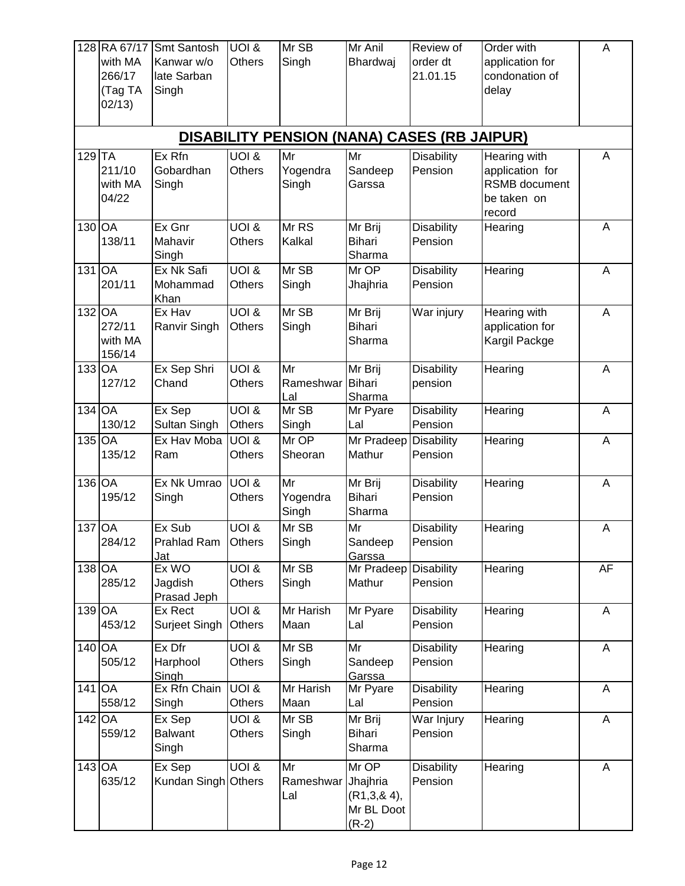|          | 128 RA 67/17<br>with MA<br>266/17<br>(Tag TA<br>02/13) | <b>Smt Santosh</b><br>Kanwar w/o<br>late Sarban<br>Singh | <b>UOI &amp;</b><br><b>Others</b>   | Mr SB<br>Singh                               | Mr Anil<br>Bhardwaj                                       | Review of<br>order dt<br>21.01.15                  | Order with<br>application for<br>condonation of<br>delay                  | A              |
|----------|--------------------------------------------------------|----------------------------------------------------------|-------------------------------------|----------------------------------------------|-----------------------------------------------------------|----------------------------------------------------|---------------------------------------------------------------------------|----------------|
|          |                                                        |                                                          |                                     |                                              |                                                           | <b>DISABILITY PENSION (NANA) CASES (RB JAIPUR)</b> |                                                                           |                |
| $129$ TA | 211/10<br>with MA<br>04/22                             | Ex Rfn<br>Gobardhan<br>Singh                             | <b>JOI &amp;</b><br><b>Others</b>   | Mr<br>Yogendra<br>Singh                      | Mr<br>Sandeep<br>Garssa                                   | <b>Disability</b><br>Pension                       | Hearing with<br>application for<br>RSMB document<br>be taken on<br>record | A              |
| 130 OA   | 138/11                                                 | Ex Gnr<br>Mahavir<br>Singh                               | <b>UOI &amp;</b><br>Others          | Mr RS<br>Kalkal                              | Mr Brij<br><b>Bihari</b><br>Sharma                        | <b>Disability</b><br>Pension                       | Hearing                                                                   | A              |
| 131 OA   | 201/11                                                 | Ex Nk Safi<br>Mohammad<br>Khan                           | <b>UOI &amp;</b><br>Others          | Mr SB<br>Singh                               | Mr OP<br>Jhajhria                                         | <b>Disability</b><br>Pension                       | Hearing                                                                   | $\mathsf A$    |
| 132 OA   | 272/11<br>with MA<br>156/14                            | Ex Hav<br>Ranvir Singh                                   | <b>UOI &amp;</b><br><b>Others</b>   | Mr SB<br>Singh                               | Mr Brij<br><b>Bihari</b><br>Sharma                        | War injury                                         | Hearing with<br>application for<br>Kargil Packge                          | A              |
| $133$ OA | 127/12                                                 | Ex Sep Shri<br>Chand                                     | <b>UOI &amp;</b><br><b>Others</b>   | $\overline{\mathsf{Mr}}$<br>Rameshwar<br>Lal | Mr Brij<br><b>Bihari</b><br>Sharma                        | <b>Disability</b><br>pension                       | Hearing                                                                   | $\overline{A}$ |
| 134 OA   | 130/12                                                 | Ex Sep<br>Sultan Singh                                   | <b>JOI &amp;</b><br><b>Others</b>   | Mr SB<br>Singh                               | Mr Pyare<br>Lal                                           | <b>Disability</b><br>Pension                       | Hearing                                                                   | A              |
| 135 OA   | 135/12                                                 | Ex Hav Moba<br>Ram                                       | <b>JOI &amp;</b><br>Others          | Mr OP<br>Sheoran                             | Mr Pradeep<br>Mathur                                      | <b>Disability</b><br>Pension                       | Hearing                                                                   | A              |
| 136 OA   | 195/12                                                 | Ex Nk Umrao<br>Singh                                     | <b>UOI &amp;</b><br><b>Others</b>   | Mr<br>Yogendra<br>Singh                      | Mr Brij<br><b>Bihari</b><br>Sharma                        | <b>Disability</b><br>Pension                       | Hearing                                                                   | $\mathsf A$    |
| 137 OA   | 284/12                                                 | Ex Sub<br>Prahlad Ram Others<br>Jat                      | <b>JOI &amp;</b>                    | Mr SB<br>Singh                               | Mr<br>Sandeep<br>Garssa                                   | <b>Disability</b><br>Pension                       | Hearing                                                                   | A              |
| 138 OA   | 285/12                                                 | Ex WO<br>Jagdish<br>Prasad Jeph                          | <b>S IOU</b><br>Others              | Mr SB<br>Singh                               | Mr Pradeep<br>Mathur                                      | <b>Disability</b><br>Pension                       | Hearing                                                                   | <b>AF</b>      |
| 139 OA   | 453/12                                                 | Ex Rect<br>Surjeet Singh                                 | $\overline{10018}$<br><b>Others</b> | Mr Harish<br>Maan                            | Mr Pyare<br>Lal                                           | <b>Disability</b><br>Pension                       | Hearing                                                                   | A              |
| 140 OA   | 505/12                                                 | Ex Dfr<br>Harphool<br>Singh                              | <b>8 IOU</b><br>Others              | Mr SB<br>Singh                               | Mr<br>Sandeep<br>Garssa                                   | <b>Disability</b><br>Pension                       | Hearing                                                                   | A              |
| 141 OA   | 558/12                                                 | Ex Rfn Chain<br>Singh                                    | <b>UOI &amp;</b><br>Others          | Mr Harish<br>Maan                            | Mr Pyare<br>Lal                                           | <b>Disability</b><br>Pension                       | Hearing                                                                   | A              |
| 142 OA   | 559/12                                                 | Ex Sep<br><b>Balwant</b><br>Singh                        | <b>JOI &amp;</b><br>Others          | Mr SB<br>Singh                               | Mr Brij<br><b>Bihari</b><br>Sharma                        | War Injury<br>Pension                              | Hearing                                                                   | A              |
| 143 OA   | 635/12                                                 | Ex Sep<br>Kundan Singh Others                            | <b>UOI &amp;</b>                    | Mr<br>Rameshwar<br>Lal                       | Mr OP<br>Jhajhria<br>(R1,3,8,4),<br>Mr BL Doot<br>$(R-2)$ | <b>Disability</b><br>Pension                       | Hearing                                                                   | A              |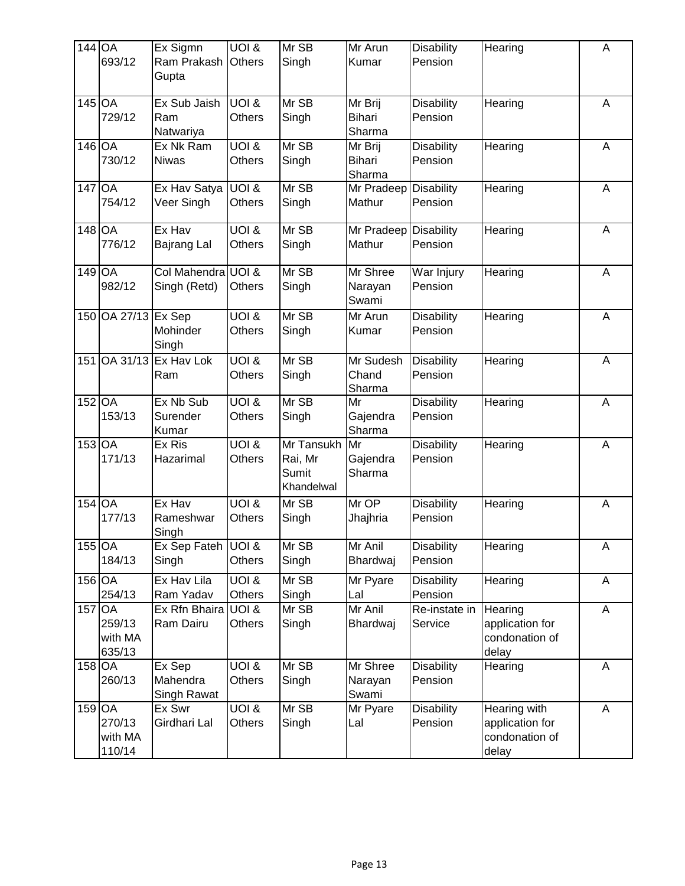| $144$ OA | 693/12                      | Ex Sigmn<br>Ram Prakash<br>Gupta   | $\overline{U}$ $\overline{O}$ $\overline{1}$ &<br><b>Others</b> | Mr SB<br>Singh                               | Mr Arun<br>Kumar                   | <b>Disability</b><br>Pension | Hearing                                                    | A |
|----------|-----------------------------|------------------------------------|-----------------------------------------------------------------|----------------------------------------------|------------------------------------|------------------------------|------------------------------------------------------------|---|
| 145 OA   | 729/12                      | Ex Sub Jaish<br>Ram<br>Natwariya   | <b>UOI &amp;</b><br><b>Others</b>                               | Mr SB<br>Singh                               | Mr Brij<br>Bihari<br>Sharma        | <b>Disability</b><br>Pension | Hearing                                                    | A |
| 146 OA   | 730/12                      | Ex Nk Ram<br><b>Niwas</b>          | <b>JOI &amp;</b><br>Others                                      | Mr SB<br>Singh                               | Mr Brij<br><b>Bihari</b><br>Sharma | <b>Disability</b><br>Pension | Hearing                                                    | A |
| 147 OA   | 754/12                      | Ex Hav Satya<br>Veer Singh         | UOI &<br>Others                                                 | Mr SB<br>Singh                               | Mr Pradeep<br>Mathur               | <b>Disability</b><br>Pension | Hearing                                                    | A |
| $148$ OA | 776/12                      | Ex Hav<br>Bajrang Lal              | <b>UOI &amp;</b><br><b>Others</b>                               | Mr SB<br>Singh                               | Mr Pradeep<br>Mathur               | <b>Disability</b><br>Pension | Hearing                                                    | A |
| 149 OA   | 982/12                      | Col Mahendra UOI &<br>Singh (Retd) | <b>Others</b>                                                   | Mr SB<br>Singh                               | Mr Shree<br>Narayan<br>Swami       | War Injury<br>Pension        | Hearing                                                    | A |
|          | 150 OA 27/13                | Ex Sep<br>Mohinder<br>Singh        | <b>UOI &amp;</b><br><b>Others</b>                               | Mr SB<br>Singh                               | Mr Arun<br>Kumar                   | <b>Disability</b><br>Pension | Hearing                                                    | Α |
| 151      | OA 31/13                    | Ex Hav Lok<br>Ram                  | $\overline{10018}$<br>Others                                    | Mr SB<br>Singh                               | Mr Sudesh<br>Chand<br>Sharma       | <b>Disability</b><br>Pension | Hearing                                                    | A |
| $152$ OA | 153/13                      | Ex Nb Sub<br>Surender<br>Kumar     | $\overline{U}$ OI $\overline{\&}$<br><b>Others</b>              | Mr SB<br>Singh                               | Mr<br>Gajendra<br>Sharma           | <b>Disability</b><br>Pension | Hearing                                                    | A |
| $153$ OA | 171/13                      | Ex Ris<br>Hazarimal                | <b>UOI &amp;</b><br><b>Others</b>                               | Mr Tansukh<br>Rai, Mr<br>Sumit<br>Khandelwal | Mr<br>Gajendra<br>Sharma           | <b>Disability</b><br>Pension | Hearing                                                    | A |
| 154 OA   | 177/13                      | Ex Hav<br>Rameshwar<br>Singh       | $\overline{U}$ OI $\overline{\&}$<br><b>Others</b>              | Mr SB<br>Singh                               | Mr OP<br>Jhajhria                  | <b>Disability</b><br>Pension | Hearing                                                    | A |
| 155 OA   | 184/13                      | Ex Sep Fateh UOI &<br>Singh        | Others                                                          | $Mr \overline{SB}$<br>Singh                  | Mr Anil<br>Bhardwaj                | <b>Disability</b><br>Pension | Hearing                                                    | A |
| $156$ OA | 254/13                      | Ex Hav Lila<br>Ram Yadav           | <b>JOI &amp;</b><br>Others                                      | Mr SB<br>Singh                               | Mr Pyare<br>Lal                    | <b>Disability</b><br>Pension | Hearing                                                    | A |
| 157 OA   | 259/13<br>with MA<br>635/13 | Ex Rfn Bhaira<br>Ram Dairu         | UOI &<br>Others                                                 | Mr SB<br>Singh                               | Mr Anil<br>Bhardwaj                | Re-instate in<br>Service     | Hearing<br>application for<br>condonation of<br>delay      | A |
| 158 OA   | 260/13                      | Ex Sep<br>Mahendra<br>Singh Rawat  | <b>JOI &amp;</b><br>Others                                      | Mr SB<br>Singh                               | Mr Shree<br>Narayan<br>Swami       | <b>Disability</b><br>Pension | Hearing                                                    | A |
| $159$ OA | 270/13<br>with MA<br>110/14 | Ex Swr<br>Girdhari Lal             | <b>JOI &amp;</b><br>Others                                      | Mr SB<br>Singh                               | Mr Pyare<br>Lal                    | <b>Disability</b><br>Pension | Hearing with<br>application for<br>condonation of<br>delay | A |